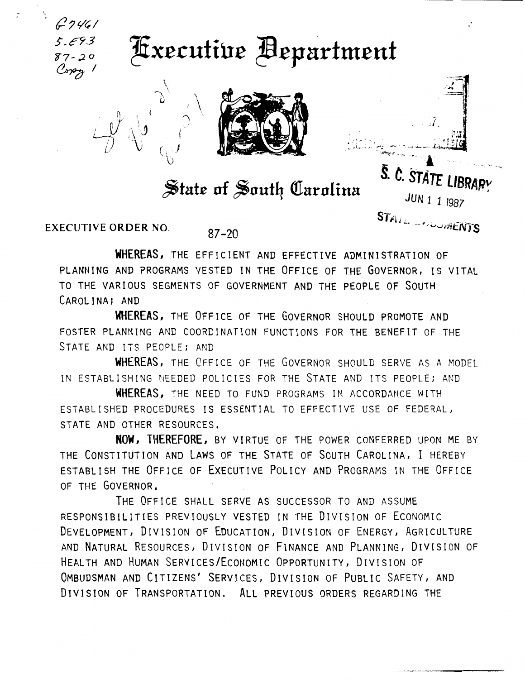

## **Executive Bepartment**



## State of South Carolina

ang isang kapaling na kabupatèn Kabupatèn Kabupatèn Kabupatèn Kabupatèn Kabupatèn Kabupatèn Kabupatèn Kabupatè<br>Ti katanggapun pang kabupatèn Kabupatèn Kabupatèn Kabupatèn Kabupatèn Kabupatèn Kabupatèn Kabupatèn Kabupatèn S. C. STATE LIBRARY

*JUN 1 1* <sup>1987</sup>  $STA_{J_{\phi_{\alpha}}}\left( \mathcal{L}_{\mathcal{A}}\right)$ ~. -- • "·"o..l•·ntNYS

EXECUTIVE ORDER NO.  $87-20$ 

 $\sum_{i=1}^{n}$ I

 $\mathcal{L}_{\mathcal{F}}$ 

WHEREAS, THE EFFICIENT AND EFFECTIVE ADMINISTRATION OF PLANNING AND PROGRAMS VESTED IN THE OFFICE OF THE GOVERNOR, IS VITAL TO THE VARIOUS SEGMENTS OF GOVERNMENT AND THE PEOPLE OF SOUTH CAROLINA; AND

WHEREAS, THE OFFICE OF THE GOVERNOR SHOULD PROMOTE AND FOSTER PLANNING AND COORDINATION FUNCTIONS FOR THE BENEFIT OF THE STATE AND ITS PEOPLE; AND

WHEREAS, THE OFFICE OF THE GOVERNOR SHOULD SERVE AS A MODEL IN ESTABLISHING NEEDED POLICIES FOR THE STATE AND ITS PEOPLE; AND

WHEREAS, THE NEED TO FUND PROGRAMS IN ACCORDANCE WITH ESTABLISHED PROCEDURES IS ESSENTIAL TO EFFECTIVE USE OF FEDERAL, STATE AND OTHER RESOURCES.

NOW, THEREFORE, BY VIRTUE OF THE POWER CONFERRED UPON ME BY THE CONSTITUTION AND LAWS OF THE STATE OF SOUTH CAROLINA, I HEREBY ESTABLISH THE OFFICE OF EXECUTIVE POLICY AND PROGRAMS IN THE OFFICE OF THE GOVERNOR,

THE OFFICE SHALL SERVE AS SUCCESSOR TO AND ASSUME RESPONSIBILITIES PREVIOUSLY VESTED IN THE DIVISION OF ECONOMIC DEVELOPMENT, DIVISION OF EDUCATION, DIVISION OF ENERGY, AGRICULTURE AND NATURAL RESOURCES, DIVISION OF FINANCE AND PLANNING, DIVISION OF HEALTH AND HUMAN SERVICES/ECONOMIC OPPORTUNITY, DIVISION OF OMBUDSMAN AND CITIZENS' SERVICES, DIVISION OF PUBLIC SAFETY, AND DIVISION OF TRANSPORTATION, ALL PREVIOUS ORDERS REGARDING THE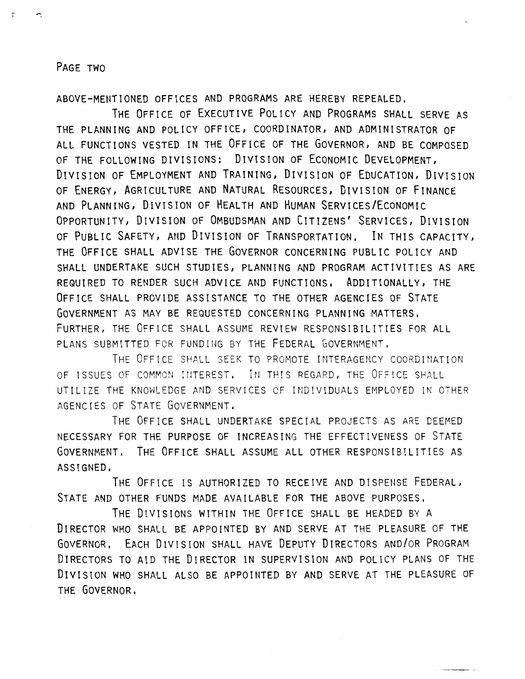## PAGE TWO

ABOVE-MENTIONED OFFICES AND PROGRAMS ARE HEREBY REPEALED,

THE OFFICE OF EXECUTIVE POLICY AND PROGRAMS SHALL SERVE AS THE PLANNING AND POLICY OFFICE, COORDINATOR, AND ADMINISTRATOR OF ALL FUNCTIONS VESTED IN THE OFFICE OF THE GOVERNOR, AND BE COMPOSED OF THE FOLLOWING DIVISIONS: DIVISION OF ECONOMIC DEVELOPMENT, DIVISION OF EMPLOYMENT AND TRAINING, DIVISION OF EDUCATION, DIVISION OF ENERGY, AGRICULTURE AND NATURAL RESOURCES, DIVISION OF FINANCE AND PLANNING, DIVISION OF HEALTH AND HUMAN SERVICES/ECONOMIC OPPORTUNITY, DIVISION OF OMBUDSMAN AND CITIZENS' SERVICES, DIVISION OF PUBLIC SAFETY, AND DIVISION OF TRANSPORTATION, IN THIS CAPACITY, THE OFFICE SHALL ADVISE THE GOVERNOR CONCERNING PUBLIC POLICY AND SHALL UNDERTAKE SUCH STUDIES, PLANNING AND PROGRAM ACTIVITIES AS ARE REQUIRED TO RENDER SUCH ADVICE AND FUNCTIONS, ADDITIONALLY, THE OFFICE SHALL PROVIDE ASSISTANCE TO THE OTHER AGENCIES OF STATE GOVERNMENT AS MAY BE REQUESTED CONCERNING PLANNING MATTERS, FURTHER, THE OFFICE SHALL ASSUME REVIEW RESPONSIBILITIES FOR ALL PLANS SUBMITTED FOR FUNDING BY THE FEDERAL GOVERNMENT.

THE OFFICE SHALL SEEK TO PROMOTE INTERAGENCY COORDINATION OF ISSUES OF COMMON INTEREST. IN THIS REGARD, THE OFFICE SHALL UTILIZE THE KNOWLEDGE AND SERVICES CF INDIVIDUALS EMPLOYED IN OTHER AGENCIES OF STATE GOVERNMENT.

THE OFFICE SHALL UNDERTAKE SPECIAL PROJECTS AS ARE DEEMED NECESSARY FOR THE PURPOSE OF INCREASING THE EFFECTIVENESS OF STATE GOVERNMENT. THE OFFICE SHALL ASSUME ALL OTHER RESPONSIBILITIES AS ASSIGNED,

THE OFFICE IS AUTHORIZED TO RECEIVE AND DISPENSE FEDERAL, STATE AND OTHER FUNDS MADE AVAILABLE FOR THE ABOVE PURPOSES.

THE DIVISIONS WITHIN THE OFFICE SHALL BE HEADED BY A DIRECTOR WHO SHALL BE APPOINTED BY AND SERVE AT THE PLEASURE OF THE GOVERNOR, EACH DIVISION SHALL HAVE DEPUTY DIRECTORS AND/OR PROGRAM DIRECTORS TO AID THE DIRECTOR IN SUPERVISION AND POLICY PLANS OF THE DIVISION WHO SHALL ALSO BE APPOINTED BY AND SERVE AT THE PLEASURE OF THE GOVERNOR,